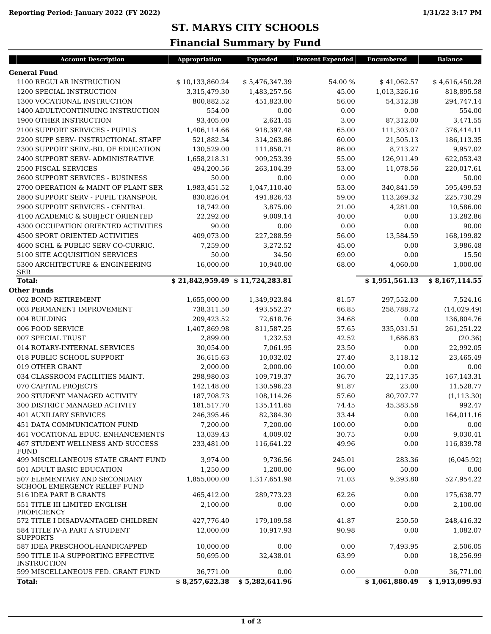## **ST. MARYS CITY SCHOOLS**

## **Financial Summary by Fund**

| <b>Account Description</b>                                          | Appropriation                  | <b>Expended</b> | <b>Percent Expended</b> | <b>Encumbered</b> | <b>Balance</b> |
|---------------------------------------------------------------------|--------------------------------|-----------------|-------------------------|-------------------|----------------|
| <b>General Fund</b>                                                 |                                |                 |                         |                   |                |
| 1100 REGULAR INSTRUCTION                                            | \$10,133,860.24                | \$5,476,347.39  | 54.00 %                 | \$41,062.57       | \$4,616,450.28 |
| 1200 SPECIAL INSTRUCTION                                            | 3,315,479.30                   | 1,483,257.56    | 45.00                   | 1,013,326.16      | 818,895.58     |
| 1300 VOCATIONAL INSTRUCTION                                         | 800,882.52                     | 451,823.00      | 56.00                   | 54,312.38         | 294,747.14     |
| 1400 ADULT/CONTINUING INSTRUCTION                                   | 554.00                         | 0.00            | 0.00                    | 0.00              | 554.00         |
| 1900 OTHER INSTRUCTION                                              | 93,405.00                      | 2,621.45        | 3.00                    | 87,312.00         | 3,471.55       |
| 2100 SUPPORT SERVICES - PUPILS                                      | 1,406,114.66                   | 918,397.48      | 65.00                   | 111,303.07        | 376,414.11     |
| 2200 SUPP SERV- INSTRUCTIONAL STAFF                                 | 521,882.34                     | 314,263.86      | 60.00                   | 21,505.13         | 186,113.35     |
| 2300 SUPPORT SERV.-BD. OF EDUCATION                                 | 130,529.00                     | 111,858.71      | 86.00                   | 8,713.27          | 9,957.02       |
| 2400 SUPPORT SERV- ADMINISTRATIVE                                   | 1,658,218.31                   | 909,253.39      | 55.00                   | 126,911.49        | 622,053.43     |
| <b>2500 FISCAL SERVICES</b>                                         | 494,200.56                     | 263,104.39      | 53.00                   | 11,078.56         | 220,017.61     |
| <b>2600 SUPPORT SERVICES - BUSINESS</b>                             | 50.00                          | 0.00            | 0.00                    | 0.00              | 50.00          |
| 2700 OPERATION & MAINT OF PLANT SER                                 | 1,983,451.52                   | 1,047,110.40    | 53.00                   | 340,841.59        | 595,499.53     |
| 2800 SUPPORT SERV - PUPIL TRANSPOR.                                 | 830,826.04                     | 491,826.43      | 59.00                   | 113,269.32        | 225,730.29     |
| 2900 SUPPORT SERVICES - CENTRAL                                     | 18,742.00                      | 3,875.00        | 21.00                   | 4,281.00          | 10,586.00      |
| 4100 ACADEMIC & SUBJECT ORIENTED                                    | 22,292.00                      | 9,009.14        | 40.00                   | 0.00              | 13,282.86      |
| 4300 OCCUPATION ORIENTED ACTIVITIES                                 | 90.00                          | 0.00            | 0.00                    | 0.00              | 90.00          |
| <b>4500 SPORT ORIENTED ACTIVITIES</b>                               | 409,073.00                     | 227,288.59      | 56.00                   | 13,584.59         | 168,199.82     |
| 4600 SCHL & PUBLIC SERV CO-CURRIC.                                  | 7,259.00                       | 3,272.52        | 45.00                   | 0.00              | 3,986.48       |
| 5100 SITE ACQUISITION SERVICES                                      | 50.00                          | 34.50           | 69.00                   | 0.00              | 15.50          |
| 5300 ARCHITECTURE & ENGINEERING                                     | 16,000.00                      | 10,940.00       | 68.00                   | 4.060.00          | 1,000.00       |
| <b>SER</b>                                                          |                                |                 |                         |                   |                |
| <b>Total:</b>                                                       | \$21,842,959.49\$11,724,283.81 |                 |                         | \$1,951,561.13    | \$8,167,114.55 |
| <b>Other Funds</b>                                                  |                                |                 |                         |                   |                |
| 002 BOND RETIREMENT                                                 | 1,655,000.00                   | 1,349,923.84    | 81.57                   | 297,552.00        | 7,524.16       |
| 003 PERMANENT IMPROVEMENT                                           | 738,311.50                     | 493,552.27      | 66.85                   | 258,788.72        | (14,029.49)    |
| 004 BUILDING                                                        | 209,423.52                     | 72,618.76       | 34.68                   | 0.00              | 136,804.76     |
| 006 FOOD SERVICE                                                    | 1,407,869.98                   | 811,587.25      | 57.65                   | 335,031.51        | 261,251.22     |
| 007 SPECIAL TRUST                                                   | 2,899.00                       | 1,232.53        | 42.52                   | 1,686.83          | (20.36)        |
| 014 ROTARY-INTERNAL SERVICES                                        | 30,054.00                      | 7,061.95        | 23.50                   | 0.00              | 22,992.05      |
| 018 PUBLIC SCHOOL SUPPORT                                           | 36,615.63                      | 10,032.02       | 27.40                   | 3,118.12          | 23,465.49      |
| 019 OTHER GRANT                                                     | 2,000.00                       | 2,000.00        | 100.00                  | 0.00              | 0.00           |
| 034 CLASSROOM FACILITIES MAINT.                                     | 298,980.03                     | 109,719.37      | 36.70                   | 22,117.35         | 167,143.31     |
| 070 CAPITAL PROJECTS                                                | 142,148.00                     | 130,596.23      | 91.87                   | 23.00             | 11,528.77      |
| 200 STUDENT MANAGED ACTIVITY                                        | 187,708.73                     | 108,114.26      | 57.60                   | 80,707.77         | (1, 113.30)    |
| <b>300 DISTRICT MANAGED ACTIVITY</b>                                | 181,517.70                     | 135,141.65      | 74.45                   | 45,383.58         | 992.47         |
| <b>401 AUXILIARY SERVICES</b>                                       | 246,395.46                     | 82,384.30       | 33.44                   | 0.00              | 164,011.16     |
| 451 DATA COMMUNICATION FUND                                         | 7,200.00                       | 7,200.00        | 100.00                  | 0.00              | 0.00           |
| 461 VOCATIONAL EDUC. ENHANCEMENTS                                   | 13,039.43                      | 4,009.02        | 30.75                   | 0.00              | 9,030.41       |
| 467 STUDENT WELLNESS AND SUCCESS<br><b>FUND</b>                     | 233,481.00                     | 116,641.22      | 49.96                   | 0.00              | 116,839.78     |
| 499 MISCELLANEOUS STATE GRANT FUND                                  | 3,974.00                       | 9,736.56        | 245.01                  | 283.36            | (6,045.92)     |
| 501 ADULT BASIC EDUCATION                                           | 1,250.00                       | 1,200.00        | 96.00                   | 50.00             | 0.00           |
| 507 ELEMENTARY AND SECONDARY<br><b>SCHOOL EMERGENCY RELIEF FUND</b> | 1,855,000.00                   | 1,317,651.98    | 71.03                   | 9,393.80          | 527,954.22     |
| 516 IDEA PART B GRANTS                                              | 465,412.00                     | 289,773.23      | 62.26                   | 0.00              | 175,638.77     |
| 551 TITLE III LIMITED ENGLISH<br>PROFICIENCY                        | 2,100.00                       | 0.00            | 0.00                    | 0.00              | 2.100.00       |
| 572 TITLE I DISADVANTAGED CHILDREN                                  | 427,776.40                     | 179,109.58      | 41.87                   | 250.50            | 248,416.32     |
| 584 TITLE IV-A PART A STUDENT<br><b>SUPPORTS</b>                    | 12,000.00                      | 10,917.93       | 90.98                   | 0.00              | 1,082.07       |
| 587 IDEA PRESCHOOL-HANDICAPPED                                      | 10,000.00                      | 0.00            | 0.00                    | 7,493.95          | 2,506.05       |
| 590 TITLE II-A SUPPORTING EFFECTIVE<br><b>INSTRUCTION</b>           | 50,695.00                      | 32,438.01       | 63.99                   | 0.00              | 18,256.99      |
| 599 MISCELLANEOUS FED. GRANT FUND                                   | 36,771.00                      | 0.00            | 0.00                    | 0.00              | 36,771.00      |
| <b>Total:</b>                                                       | \$8,257,622.38                 | \$5,282,641.96  |                         | \$1,061,880.49    | \$1,913,099.93 |